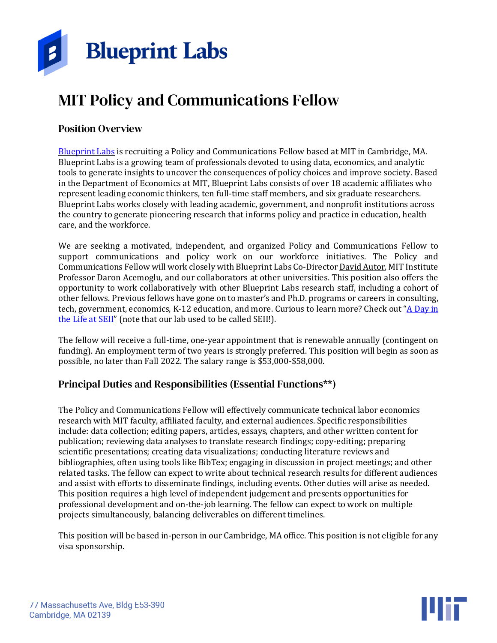

# MIT Policy and Communications Fellow

### Position Overview

[Blueprint](https://blueprintlabs.mit.edu/) Labs is recruiting a Policy and Communications Fellow based at MIT in Cambridge, MA. Blueprint Labs is a growing team of professionals devoted to using data, economics, and analytic tools to generate insights to uncover the consequences of policy choices and improve society. Based in the Department of Economics at MIT, Blueprint Labs consists of over 18 academic affiliates who represent leading economic thinkers, ten full-time staff members, and six graduate researchers. Blueprint Labs works closely with leading academic, government, and nonprofit institutions across the country to generate pioneering research that informs policy and practice in education, health care, and the workforce.

We are seeking a motivated, independent, and organized Policy and Communications Fellow to support communications and policy work on our workforce initiatives. The Policy and Communications Fellow will work closely with Blueprint Labs Co-Director David [Autor,](https://blueprintlabs.mit.edu/team/david-autor/) MIT Institute Professor Daron [Acemoglu,](https://blueprintlabs.mit.edu/team/daron-acemoglu/) and our collaborators at other universities. This position also offers the opportunity to work collaboratively with other Blueprint Labs research staff, including a cohort of other fellows. Previous fellows have gone on to master's and Ph.D. programs or careers in consulting, tech, government, economics, K-12 education, and more. Curious to learn more? Check out "A [Day](https://youtu.be/QKBcOVyGynE) in the Life at [SEII](https://youtu.be/QKBcOVyGynE)" (note that our lab used to be called SEII!).

The fellow will receive a full-time, one-year appointment that is renewable annually (contingent on funding). An employment term of two years is strongly preferred. This position will begin as soon as possible, no later than Fall 2022. The salary range is \$53,000-\$58,000.

### Principal Duties and Responsibilities (Essential Functions\*\*)

The Policy and Communications Fellow will effectively communicate technical labor economics research with MIT faculty, affiliated faculty, and external audiences. Specific responsibilities include: data collection; editing papers, articles, essays, chapters, and other written content for publication; reviewing data analyses to translate research findings; copy-editing; preparing scientific presentations; creating data visualizations; conducting literature reviews and bibliographies, often using tools like BibTex; engaging in discussion in project meetings; and other related tasks. The fellow can expect to write about technical research results for different audiences and assist with efforts to disseminate findings, including events. Other duties will arise as needed. This position requires a high level of independent judgement and presents opportunities for professional development and on-the-job learning. The fellow can expect to work on multiple projects simultaneously, balancing deliverables on different timelines.

This position will be based in-person in our Cambridge, MA office. This position is not eligible for any visa sponsorship.